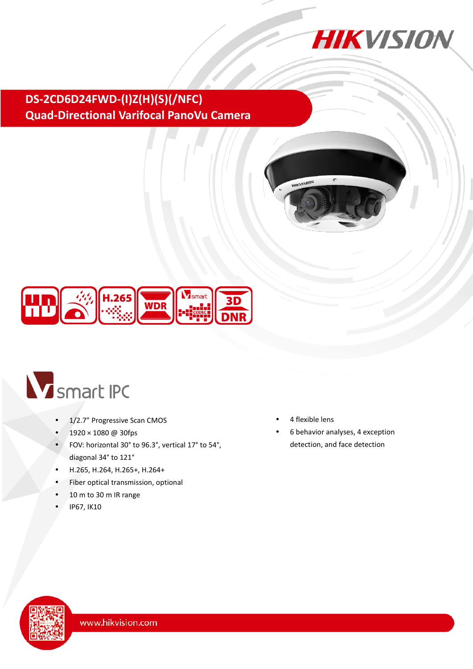

## **DS-2CD6D24FWD-(I)Z(H)(S)(/NFC) Quad-Directional Varifocal PanoVu Camera**





# V smart IPC

- 1/2.7" Progressive Scan CMOS
- 1920 × 1080 @ 30fps
- FOV: horizontal 30° to 96.3°, vertical 17° to 54°, diagonal 34° to 121°
- H.265, H.264, H.265+, H.264+
- Fiber optical transmission, optional
- 10 m to 30 m IR range
- IP67, IK10
- 4 flexible lens
- 6 behavior analyses, 4 exception detection, and face detection

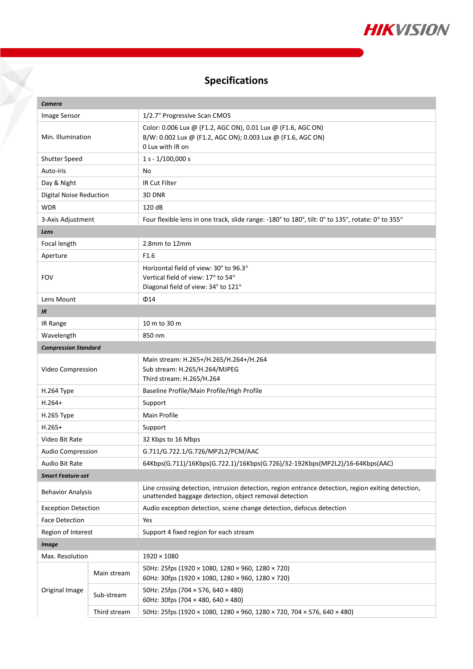

# **Specifications**

Y

| Camera                      |              |                                                                                                                                                              |  |  |
|-----------------------------|--------------|--------------------------------------------------------------------------------------------------------------------------------------------------------------|--|--|
| Image Sensor                |              | 1/2.7" Progressive Scan CMOS                                                                                                                                 |  |  |
| Min. Illumination           |              | Color: 0.006 Lux @ (F1.2, AGC ON), 0.01 Lux @ (F1.6, AGC ON)<br>B/W: 0.002 Lux @ (F1.2, AGC ON); 0.003 Lux @ (F1.6, AGC ON)<br>0 Lux with IR on              |  |  |
| Shutter Speed               |              | $1 s - 1/100,000 s$                                                                                                                                          |  |  |
| Auto-iris                   |              | No                                                                                                                                                           |  |  |
| Day & Night                 |              | IR Cut Filter                                                                                                                                                |  |  |
| Digital Noise Reduction     |              | 3D DNR                                                                                                                                                       |  |  |
| <b>WDR</b>                  |              | 120 dB                                                                                                                                                       |  |  |
| 3-Axis Adjustment           |              | Four flexible lens in one track, slide range: -180° to 180°, tilt: 0° to 135°, rotate: 0° to 355°                                                            |  |  |
| Lens                        |              |                                                                                                                                                              |  |  |
| Focal length                |              | 2.8mm to 12mm                                                                                                                                                |  |  |
| Aperture                    |              | F <sub>1.6</sub>                                                                                                                                             |  |  |
|                             |              | Horizontal field of view: 30° to 96.3°                                                                                                                       |  |  |
| <b>FOV</b>                  |              | Vertical field of view: 17° to 54°                                                                                                                           |  |  |
|                             |              | Diagonal field of view: 34° to 121°                                                                                                                          |  |  |
| Lens Mount<br>$\Phi$ 14     |              |                                                                                                                                                              |  |  |
| <b>IR</b>                   |              |                                                                                                                                                              |  |  |
| IR Range                    |              | 10 m to 30 m                                                                                                                                                 |  |  |
| Wavelength                  |              | 850 nm                                                                                                                                                       |  |  |
| <b>Compression Standard</b> |              |                                                                                                                                                              |  |  |
| Video Compression           |              | Main stream: H.265+/H.265/H.264+/H.264<br>Sub stream: H.265/H.264/MJPEG<br>Third stream: H.265/H.264                                                         |  |  |
| H.264 Type                  |              | Baseline Profile/Main Profile/High Profile                                                                                                                   |  |  |
| $H.264+$                    |              | Support                                                                                                                                                      |  |  |
| H.265 Type                  |              | Main Profile                                                                                                                                                 |  |  |
| $H.265+$                    |              | Support                                                                                                                                                      |  |  |
| Video Bit Rate              |              | 32 Kbps to 16 Mbps                                                                                                                                           |  |  |
| <b>Audio Compression</b>    |              | G.711/G.722.1/G.726/MP2L2/PCM/AAC                                                                                                                            |  |  |
| Audio Bit Rate              |              | 64Kbps(G.711)/16Kbps(G.722.1)/16Kbps(G.726)/32-192Kbps(MP2L2)/16-64Kbps(AAC)                                                                                 |  |  |
| <b>Smart Feature-set</b>    |              |                                                                                                                                                              |  |  |
| <b>Behavior Analysis</b>    |              | Line crossing detection, intrusion detection, region entrance detection, region exiting detection,<br>unattended baggage detection, object removal detection |  |  |
| <b>Exception Detection</b>  |              | Audio exception detection, scene change detection, defocus detection                                                                                         |  |  |
| <b>Face Detection</b>       |              | Yes                                                                                                                                                          |  |  |
| Region of Interest          |              | Support 4 fixed region for each stream                                                                                                                       |  |  |
| <b>Image</b>                |              |                                                                                                                                                              |  |  |
| Max. Resolution             |              | $1920 \times 1080$                                                                                                                                           |  |  |
| Original Image              | Main stream  | 50Hz: 25fps (1920 × 1080, 1280 × 960, 1280 × 720)<br>60Hz: 30fps (1920 × 1080, 1280 × 960, 1280 × 720)                                                       |  |  |
|                             | Sub-stream   | 50Hz: 25fps (704 × 576, 640 × 480)<br>60Hz: 30fps (704 × 480, 640 × 480)                                                                                     |  |  |
|                             | Third stream | 50Hz: 25fps (1920 × 1080, 1280 × 960, 1280 × 720, 704 × 576, 640 × 480)                                                                                      |  |  |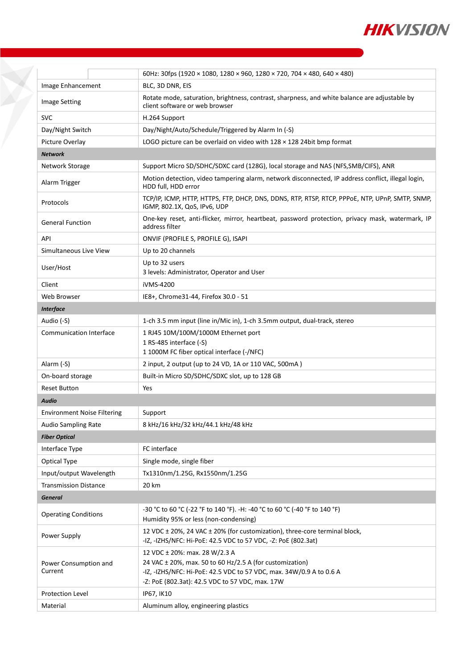

|                                    | 60Hz: 30fps (1920 × 1080, 1280 × 960, 1280 × 720, 704 × 480, 640 × 480)                                                                                                                                                 |
|------------------------------------|-------------------------------------------------------------------------------------------------------------------------------------------------------------------------------------------------------------------------|
| Image Enhancement                  | BLC, 3D DNR, EIS                                                                                                                                                                                                        |
| <b>Image Setting</b>               | Rotate mode, saturation, brightness, contrast, sharpness, and white balance are adjustable by<br>client software or web browser                                                                                         |
| <b>SVC</b>                         | H.264 Support                                                                                                                                                                                                           |
| Day/Night Switch                   | Day/Night/Auto/Schedule/Triggered by Alarm In (-S)                                                                                                                                                                      |
| Picture Overlay                    | LOGO picture can be overlaid on video with $128 \times 128$ 24bit bmp format                                                                                                                                            |
| <b>Network</b>                     |                                                                                                                                                                                                                         |
| Network Storage                    | Support Micro SD/SDHC/SDXC card (128G), local storage and NAS (NFS, SMB/CIFS), ANR                                                                                                                                      |
| Alarm Trigger                      | Motion detection, video tampering alarm, network disconnected, IP address conflict, illegal login,<br>HDD full, HDD error                                                                                               |
| Protocols                          | TCP/IP, ICMP, HTTP, HTTPS, FTP, DHCP, DNS, DDNS, RTP, RTSP, RTCP, PPPOE, NTP, UPnP, SMTP, SNMP,<br>IGMP, 802.1X, QoS, IPv6, UDP                                                                                         |
| <b>General Function</b>            | One-key reset, anti-flicker, mirror, heartbeat, password protection, privacy mask, watermark, IP<br>address filter                                                                                                      |
| API                                | ONVIF (PROFILE S, PROFILE G), ISAPI                                                                                                                                                                                     |
| Simultaneous Live View             | Up to 20 channels                                                                                                                                                                                                       |
| User/Host                          | Up to 32 users<br>3 levels: Administrator, Operator and User                                                                                                                                                            |
| Client                             | iVMS-4200                                                                                                                                                                                                               |
| Web Browser                        | IE8+, Chrome31-44, Firefox 30.0 - 51                                                                                                                                                                                    |
| <b>Interface</b>                   |                                                                                                                                                                                                                         |
| Audio (-S)                         | 1-ch 3.5 mm input (line in/Mic in), 1-ch 3.5mm output, dual-track, stereo                                                                                                                                               |
| <b>Communication Interface</b>     | 1 RJ45 10M/100M/1000M Ethernet port<br>1 RS-485 interface (-S)<br>1 1000M FC fiber optical interface (-/NFC)                                                                                                            |
| Alarm (-S)                         | 2 input, 2 output (up to 24 VD, 1A or 110 VAC, 500mA)                                                                                                                                                                   |
| On-board storage                   | Built-in Micro SD/SDHC/SDXC slot, up to 128 GB                                                                                                                                                                          |
| <b>Reset Button</b>                | Yes                                                                                                                                                                                                                     |
| <b>Audio</b>                       |                                                                                                                                                                                                                         |
| <b>Environment Noise Filtering</b> | Support                                                                                                                                                                                                                 |
| Audio Sampling Rate                | 8 kHz/16 kHz/32 kHz/44.1 kHz/48 kHz                                                                                                                                                                                     |
| <b>Fiber Optical</b>               |                                                                                                                                                                                                                         |
| Interface Type                     | FC interface                                                                                                                                                                                                            |
| Optical Type                       | Single mode, single fiber                                                                                                                                                                                               |
| Input/output Wavelength            | Tx1310nm/1.25G, Rx1550nm/1.25G                                                                                                                                                                                          |
| <b>Transmission Distance</b>       | 20 km                                                                                                                                                                                                                   |
| <b>General</b>                     |                                                                                                                                                                                                                         |
| <b>Operating Conditions</b>        | -30 °C to 60 °C (-22 °F to 140 °F). -H: -40 °C to 60 °C (-40 °F to 140 °F)<br>Humidity 95% or less (non-condensing)                                                                                                     |
| Power Supply                       | 12 VDC ± 20%, 24 VAC ± 20% (for customization), three-core terminal block,<br>-IZ, -IZHS/NFC: Hi-PoE: 42.5 VDC to 57 VDC, -Z: PoE (802.3at)                                                                             |
| Power Consumption and<br>Current   | 12 VDC ± 20%: max. 28 W/2.3 A<br>24 VAC $\pm$ 20%, max. 50 to 60 Hz/2.5 A (for customization)<br>-IZ, -IZHS/NFC: Hi-PoE: 42.5 VDC to 57 VDC, max. 34W/0.9 A to 0.6 A<br>-Z: PoE (802.3at): 42.5 VDC to 57 VDC, max. 17W |
| <b>Protection Level</b>            | IP67, IK10                                                                                                                                                                                                              |
| Material                           | Aluminum alloy, engineering plastics                                                                                                                                                                                    |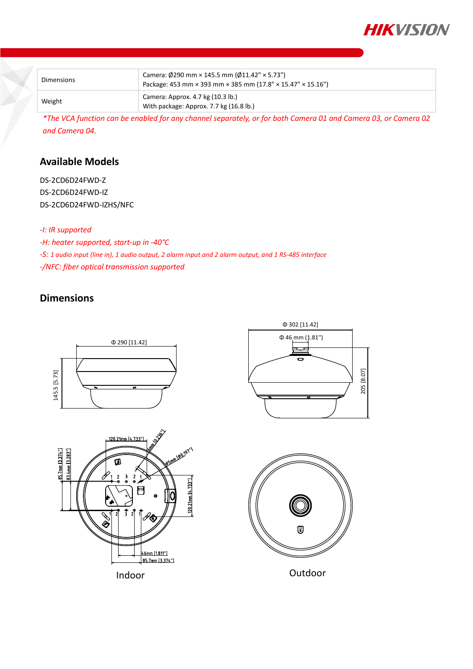

| Dimensions | Camera: $\emptyset$ 290 mm × 145.5 mm ( $\emptyset$ 11.42" × 5.73")<br>Package: 453 mm × 393 mm × 385 mm (17.8" × 15.47" × 15.16") |
|------------|------------------------------------------------------------------------------------------------------------------------------------|
| Weight     | Camera: Approx. 4.7 kg (10.3 lb.)<br>With package: Approx. 7.7 kg (16.8 lb.)                                                       |

*\*The VCA function can be enabled for any channel separately, or for both Camera 01 and Camera 03, or Camera 02 and Camera 04.*

### **Available Models**

DS-2CD6D24FWD-Z DS-2CD6D24FWD-IZ DS-2CD6D24FWD-IZHS/NFC

#### *-I: IR supported*

*-H: heater supported, start-up in -40°C*

*-S: 1 audio input (line in), 1 audio output, 2 alarm input and 2 alarm output, and 1 RS-485 interface*

*-/NFC: fiber optical transmission supported*

## **Dimensions**